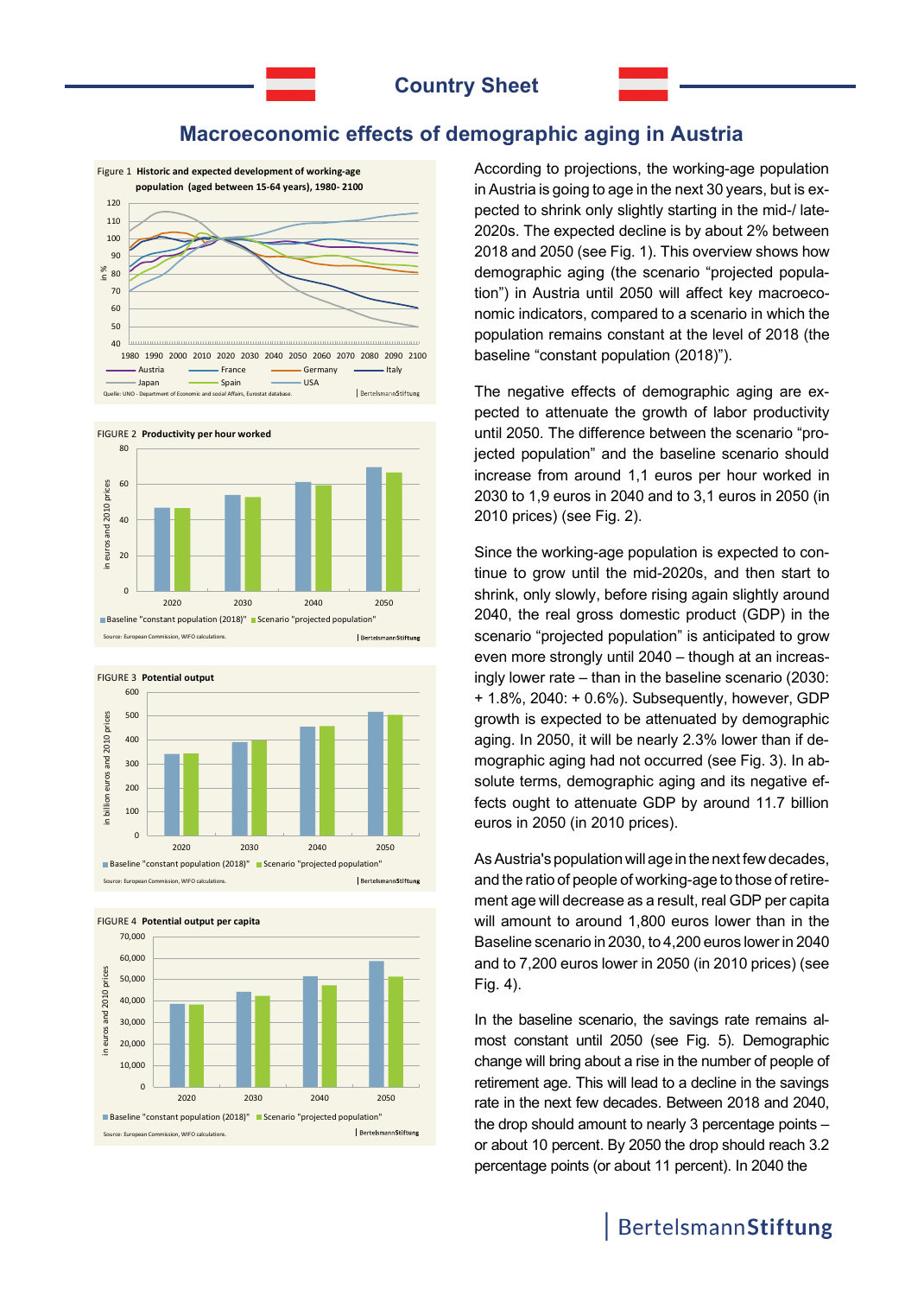## **Macroeconomic effects of demographic aging in Austria**











According to projections, the working-age population in Austria is going to age in the next 30 years, but is expected to shrink only slightly starting in the mid-/ late-2020s. The expected decline is by about 2% between 2018 and 2050 (see Fig. 1). This overview shows how demographic aging (the scenario "projected population") in Austria until 2050 will affect key macroeconomic indicators, compared to a scenario in which the population remains constant at the level of 2018 (the baseline "constant population (2018)").

The negative effects of demographic aging are expected to attenuate the growth of labor productivity until 2050. The difference between the scenario "projected population" and the baseline scenario should increase from around 1,1 euros per hour worked in 2030 to 1,9 euros in 2040 and to 3,1 euros in 2050 (in 2010 prices) (see Fig. 2).

Since the working-age population is expected to continue to grow until the mid-2020s, and then start to shrink, only slowly, before rising again slightly around 2040, the real gross domestic product (GDP) in the scenario "projected population" is anticipated to grow even more strongly until 2040 – though at an increasingly lower rate – than in the baseline scenario (2030: + 1.8%, 2040: + 0.6%). Subsequently, however, GDP growth is expected to be attenuated by demographic aging. In 2050, it will be nearly 2.3% lower than if demographic aging had not occurred (see Fig. 3). In absolute terms, demographic aging and its negative effects ought to attenuate GDP by around 11.7 billion euros in 2050 (in 2010 prices).

As Austria's population will age in the next few decades, and the ratio of people of working-age to those of retirement age will decrease as a result, real GDP per capita will amount to around 1,800 euros lower than in the Baseline scenario in 2030, to 4,200 euros lower in 2040 and to 7,200 euros lower in 2050 (in 2010 prices) (see Fig. 4).

In the baseline scenario, the savings rate remains almost constant until 2050 (see Fig. 5). Demographic change will bring about a rise in the number of people of retirement age. This will lead to a decline in the savings rate in the next few decades. Between 2018 and 2040, the drop should amount to nearly 3 percentage points – or about 10 percent. By 2050 the drop should reach 3.2 percentage points (or about 11 percent). In 2040 the

# BertelsmannStiftung